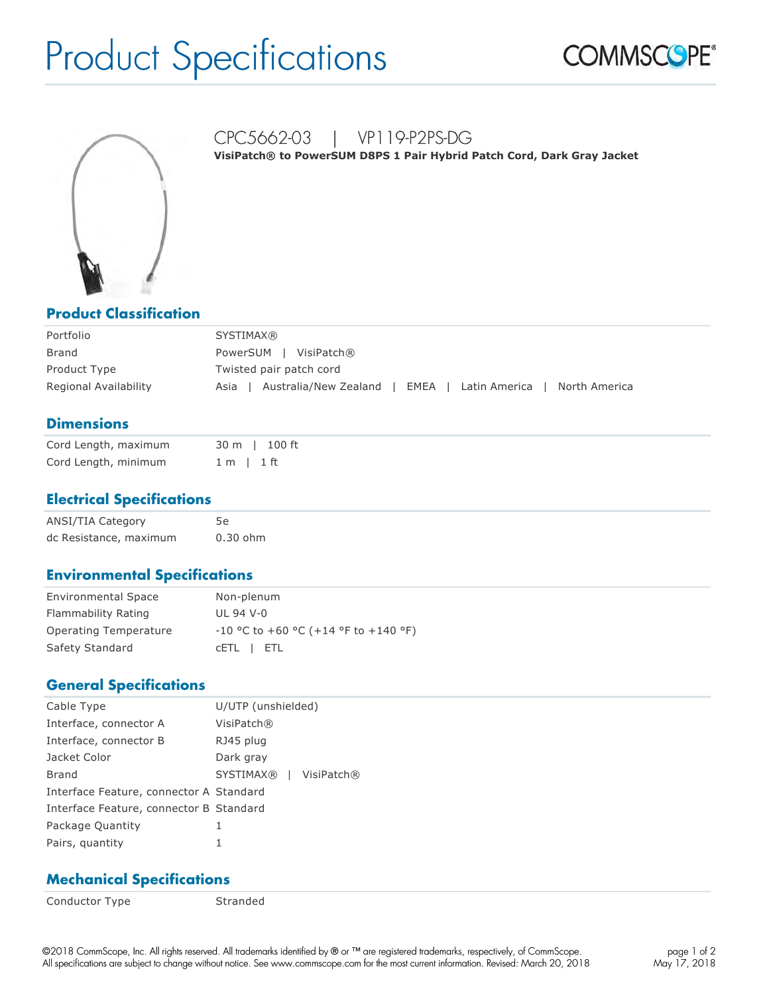# Product Specifications





CPC5662-03 | VP119-P2PS-DG **VisiPatch® to PowerSUM D8PS 1 Pair Hybrid Patch Cord, Dark Gray Jacket**

#### **Product Classification**

| Portfolio             | <b>SYSTIMAX®</b>                                                           |
|-----------------------|----------------------------------------------------------------------------|
| <b>Brand</b>          | PowerSUM   VisiPatch®                                                      |
| Product Type          | Twisted pair patch cord                                                    |
| Regional Availability | Australia/New Zealand<br>EMEA   Latin America  <br>North America<br>Asia i |

### **Dimensions**

| Cord Length, maximum | 30 m   100 ft  |
|----------------------|----------------|
| Cord Length, minimum | $1 m$   $1 ft$ |

#### **Electrical Specifications**

| ANSI/TIA Category      |          |
|------------------------|----------|
| dc Resistance, maximum | 0.30 ohm |

#### **Environmental Specifications**

| <b>Environmental Space</b> | Non-plenum                             |
|----------------------------|----------------------------------------|
| Flammability Rating        | UL 94 V-0                              |
| Operating Temperature      | $-10$ °C to +60 °C (+14 °F to +140 °F) |
| Safety Standard            | CETL I ETL                             |

#### **General Specifications**

| Cable Type                              | U/UTP (unshielded)             |
|-----------------------------------------|--------------------------------|
| Interface, connector A                  | VisiPatch®                     |
| Interface, connector B                  | RJ45 plug                      |
| Jacket Color                            | Dark gray                      |
| Brand                                   | <b>SYSTIMAX®</b><br>VisiPatch® |
| Interface Feature, connector A Standard |                                |
| Interface Feature, connector B Standard |                                |
| Package Quantity                        |                                |
| Pairs, quantity                         |                                |

#### **Mechanical Specifications**

Conductor Type Stranded